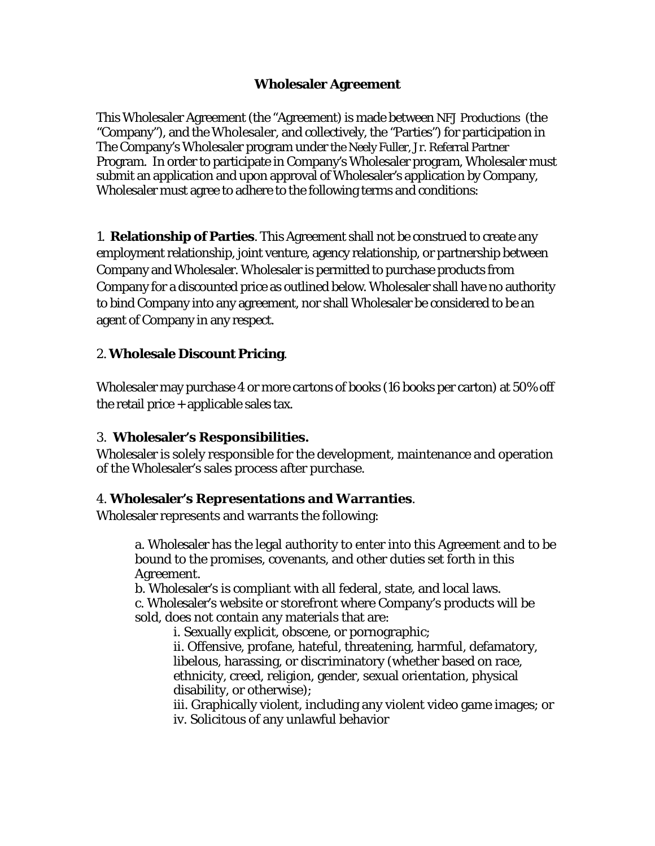## **Wholesaler Agreement**

This Wholesaler Agreement (the "Agreement) is made between NFJ Productions (the "Company"), and the Wholesaler, and collectively, the "Parties") for participation in The Company's Wholesaler program under the Neely Fuller, Jr. Referral Partner Program. In order to participate in Company's Wholesaler program, Wholesaler must submit an application and upon approval of Wholesaler's application by Company, Wholesaler must agree to adhere to the following terms and conditions:

1. **Relationship of Parties**. This Agreement shall not be construed to create any employment relationship, joint venture, agency relationship, or partnership between Company and Wholesaler. Wholesaler is permitted to purchase products from Company for a discounted price as outlined below. Wholesaler shall have no authority to bind Company into any agreement, nor shall Wholesaler be considered to be an agent of Company in any respect.

## 2. **Wholesale Discount Pricing**.

Wholesaler may purchase 4 or more cartons of books (16 books per carton) at 50% off the retail price  $+$  applicable sales tax.

#### 3. **Wholesaler's Responsibilities.**

Wholesaler is solely responsible for the development, maintenance and operation of the Wholesaler's sales process after purchase.

#### 4. **Wholesaler's Representations and Warranties**.

Wholesaler represents and warrants the following:

a. Wholesaler has the legal authority to enter into this Agreement and to be bound to the promises, covenants, and other duties set forth in this Agreement.

b. Wholesaler's is compliant with all federal, state, and local laws. c. Wholesaler's website or storefront where Company's products will be sold, does not contain any materials that are:

i. Sexually explicit, obscene, or pornographic;

ii. Offensive, profane, hateful, threatening, harmful, defamatory, libelous, harassing, or discriminatory (whether based on race, ethnicity, creed, religion, gender, sexual orientation, physical disability, or otherwise);

iii. Graphically violent, including any violent video game images; or iv. Solicitous of any unlawful behavior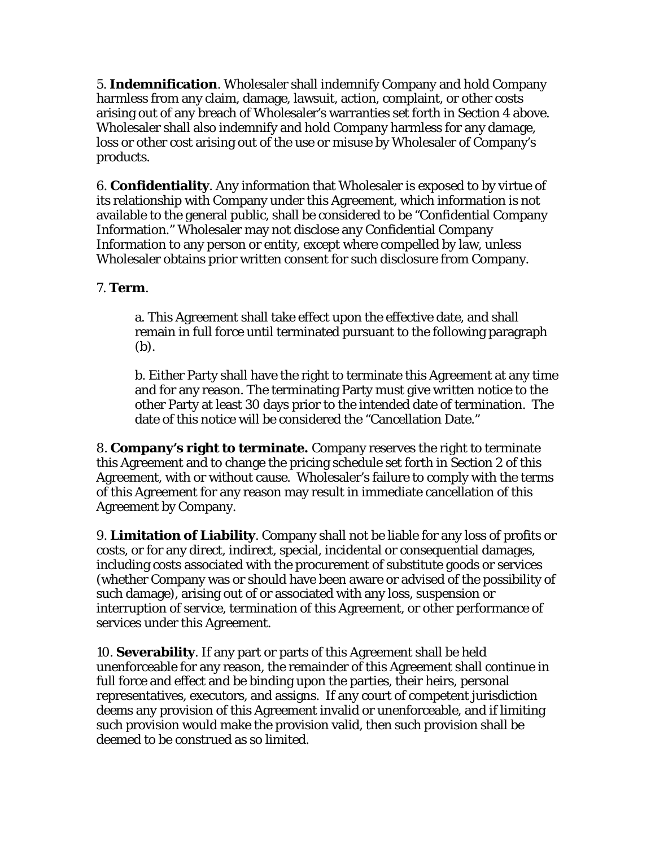5. **Indemnification**. Wholesaler shall indemnify Company and hold Company harmless from any claim, damage, lawsuit, action, complaint, or other costs arising out of any breach of Wholesaler's warranties set forth in Section 4 above. Wholesaler shall also indemnify and hold Company harmless for any damage, loss or other cost arising out of the use or misuse by Wholesaler of Company's products.

6. **Confidentiality**. Any information that Wholesaler is exposed to by virtue of its relationship with Company under this Agreement, which information is not available to the general public, shall be considered to be "Confidential Company Information." Wholesaler may not disclose any Confidential Company Information to any person or entity, except where compelled by law, unless Wholesaler obtains prior written consent for such disclosure from Company.

## 7. **Term**.

a. This Agreement shall take effect upon the effective date, and shall remain in full force until terminated pursuant to the following paragraph (b).

b. Either Party shall have the right to terminate this Agreement at any time and for any reason. The terminating Party must give written notice to the other Party at least 30 days prior to the intended date of termination. The date of this notice will be considered the "Cancellation Date."

8. **Company's right to terminate.** Company reserves the right to terminate this Agreement and to change the pricing schedule set forth in Section 2 of this Agreement, with or without cause. Wholesaler's failure to comply with the terms of this Agreement for any reason may result in immediate cancellation of this Agreement by Company.

9. **Limitation of Liability**. Company shall not be liable for any loss of profits or costs, or for any direct, indirect, special, incidental or consequential damages, including costs associated with the procurement of substitute goods or services (whether Company was or should have been aware or advised of the possibility of such damage), arising out of or associated with any loss, suspension or interruption of service, termination of this Agreement, or other performance of services under this Agreement.

10. **Severability**. If any part or parts of this Agreement shall be held unenforceable for any reason, the remainder of this Agreement shall continue in full force and effect and be binding upon the parties, their heirs, personal representatives, executors, and assigns. If any court of competent jurisdiction deems any provision of this Agreement invalid or unenforceable, and if limiting such provision would make the provision valid, then such provision shall be deemed to be construed as so limited.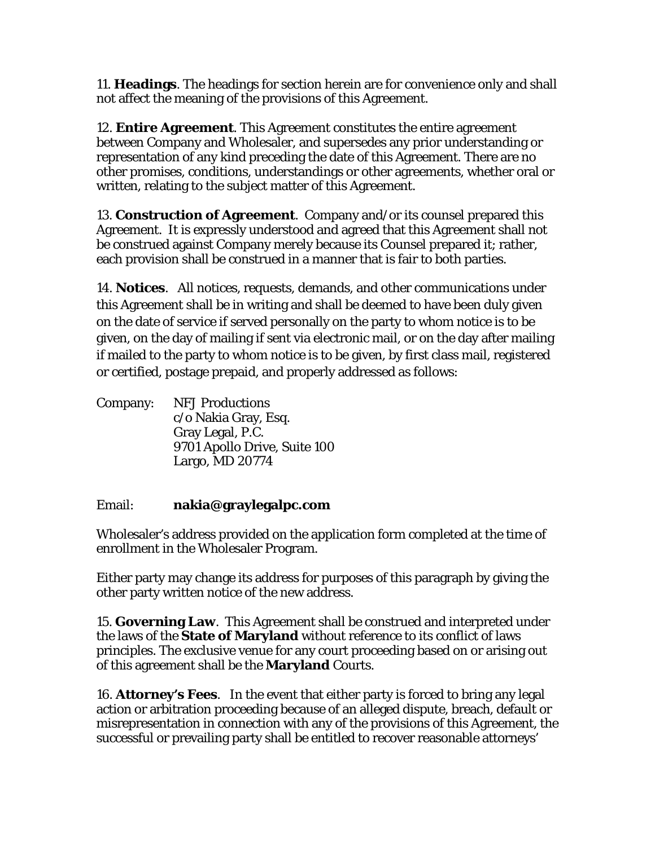11. **Headings**. The headings for section herein are for convenience only and shall not affect the meaning of the provisions of this Agreement.

12. **Entire Agreement**. This Agreement constitutes the entire agreement between Company and Wholesaler, and supersedes any prior understanding or representation of any kind preceding the date of this Agreement. There are no other promises, conditions, understandings or other agreements, whether oral or written, relating to the subject matter of this Agreement.

13. **Construction of Agreement**. Company and/or its counsel prepared this Agreement. It is expressly understood and agreed that this Agreement shall not be construed against Company merely because its Counsel prepared it; rather, each provision shall be construed in a manner that is fair to both parties.

14. **Notices**. All notices, requests, demands, and other communications under this Agreement shall be in writing and shall be deemed to have been duly given on the date of service if served personally on the party to whom notice is to be given, on the day of mailing if sent via electronic mail, or on the day after mailing if mailed to the party to whom notice is to be given, by first class mail, registered or certified, postage prepaid, and properly addressed as follows:

| Company: | <b>NFJ Productions</b>       |
|----------|------------------------------|
|          | c/o Nakia Gray, Esq.         |
|          | Gray Legal, P.C.             |
|          | 9701 Apollo Drive, Suite 100 |
|          | Largo, MD 20774              |

# Email: **nakia@graylegalpc.com**

Wholesaler's address provided on the application form completed at the time of enrollment in the Wholesaler Program.

Either party may change its address for purposes of this paragraph by giving the other party written notice of the new address.

15. **Governing Law**. This Agreement shall be construed and interpreted under the laws of the **State of Maryland** without reference to its conflict of laws principles. The exclusive venue for any court proceeding based on or arising out of this agreement shall be the **Maryland** Courts.

16. **Attorney's Fees**. In the event that either party is forced to bring any legal action or arbitration proceeding because of an alleged dispute, breach, default or misrepresentation in connection with any of the provisions of this Agreement, the successful or prevailing party shall be entitled to recover reasonable attorneys'